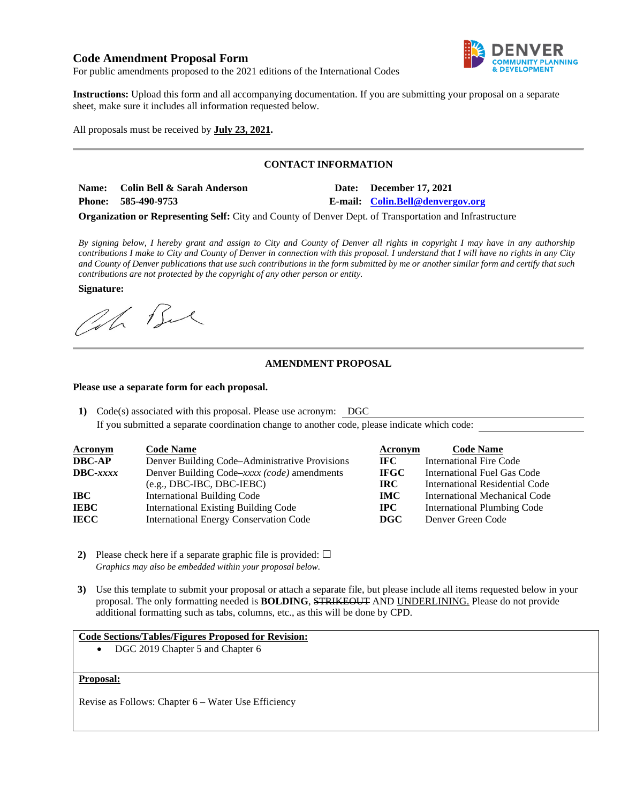# **Code Amendment Proposal Form**



For public amendments proposed to the 2021 editions of the International Codes

 **Instructions:** Upload this form and all accompanying documentation. If you are submitting your proposal on a separate sheet, make sure it includes all information requested below.

All proposals must be received by **July 23, 2021.** 

# **CONTACT INFORMATION**

Name: **Colin Bell & Sarah Anderson Date: December 17, 2021 Phone: 585-490-9753 E-mail: [Colin.Bell@denvergov.org](mailto:Colin.Bell@denvergov.org)** 

 **Organization or Representing Self:** City and County of Denver Dept. of Transportation and Infrastructure

 *By signing below, I hereby grant and assign to City and County of Denver all rights in copyright I may have in any authorship contributions I make to City and County of Denver in connection with this proposal. I understand that I will have no rights in any City and County of Denver publications that use such contributions in the form submitted by me or another similar form and certify that such contributions are not protected by the copyright of any other person or entity.* 

**Signature:** 

Oh Bu

# **AMENDMENT PROPOSAL**

#### **Please use a separate form for each proposal.**

**1)** Code(s) associated with this proposal. Please use acronym: DGC

If you submitted a separate coordination change to another code, please indicate which code:

| <b>Acronym</b>    | <b>Code Name</b>                               | Acronym     | <b>Code Name</b>                   |
|-------------------|------------------------------------------------|-------------|------------------------------------|
| <b>DBC-AP</b>     | Denver Building Code–Administrative Provisions | IFC.        | <b>International Fire Code</b>     |
| $\text{DBC}-xxxx$ | Denver Building Code–xxxx (code) amendments    | <b>IFGC</b> | International Fuel Gas Code        |
|                   | $(e.g., DBC-IBC, DBC-IEBC)$                    | IRC-        | International Residential Code     |
| IBC-              | <b>International Building Code</b>             | <b>IMC</b>  | International Mechanical Code      |
| <b>IEBC</b>       | <b>International Existing Building Code</b>    | $\bf IPC$   | <b>International Plumbing Code</b> |
| <b>IECC</b>       | <b>International Energy Conservation Code</b>  | <b>DGC</b>  | Denver Green Code                  |

- **2)** Please check here if a separate graphic file is provided:  $\Box$  *Graphics may also be embedded within your proposal below.*
- **3)** Use this template to submit your proposal or attach a separate file, but please include all items requested below in your proposal. The only formatting needed is **BOLDING**, STRIKEOUT AND UNDERLINING. Please do not provide additional formatting such as tabs, columns, etc., as this will be done by CPD.

#### **Code Sections/Tables/Figures Proposed for Revision:**

• DGC 2019 Chapter 5 and Chapter 6

#### **Proposal:**

Revise as Follows: Chapter 6 – Water Use Efficiency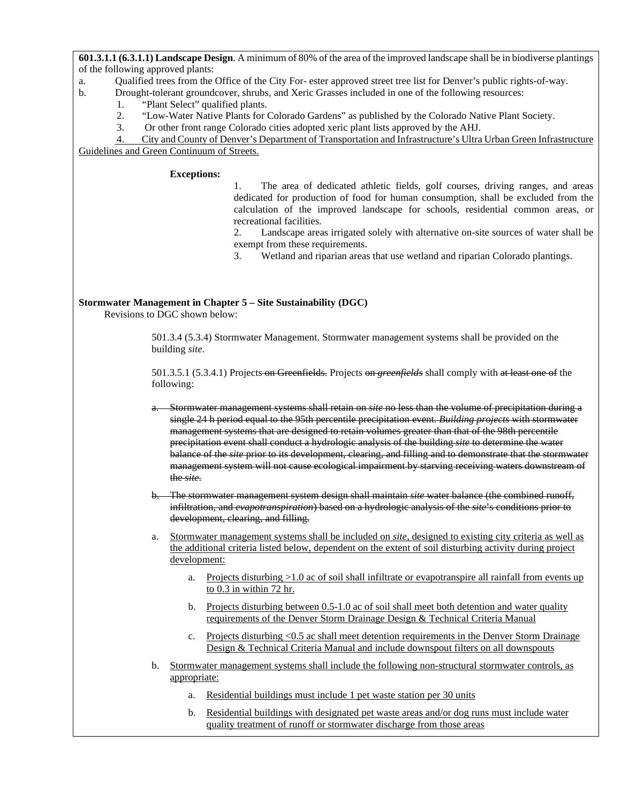**601.3.1.1 (6.3.1.1) Landscape Design**. A minimum of 80% of the area of the improved landscape shall be in biodiverse plantings of the following approved plants:

- a. Qualified trees from the Office of the City For- ester approved street tree list for Denver's public rights-of-way.
- b. Drought-tolerant groundcover, shrubs, and Xeric Grasses included in one of the following resources:
	- 1. "Plant Select" qualified plants.
	- 2. "Low-Water Native Plants for Colorado Gardens" as published by the Colorado Native Plant Society.
	- 3. Or other front range Colorado cities adopted xeric plant lists approved by the AHJ.

 Guidelines and Green Continuum of Streets. 4. City and County of Denver's Department of Transportation and Infrastructure's Ultra Urban Green Infrastructure

#### **Exceptions:**

 1. The area of dedicated athletic fields, golf courses, driving ranges, and areas dedicated for production of food for human consumption, shall be excluded from the calculation of the improved landscape for schools, residential common areas, or recreational facilities.

recreational facilities.<br>2. Landscape areas irrigated solely with alternative on-site sources of water shall be exempt from these requirements.

3. Wetland and riparian areas that use wetland and riparian Colorado plantings.

# **Stormwater Management in Chapter 5 – Site Sustainability (DGC)**

Revisions to DGC shown below:

 501.3.4 (5.3.4) Stormwater Management. Stormwater management systems shall be provided on the building *site*.

 501.3.5.1 (5.3.4.1) Projects on Greenfields. Projects on *greenfields* shall comply with at least one of the following:

- a. Stormwater management systems shall retain on *site* no less than the volume of precipitation during a single 24 h period equal to the 95th percentile precipitation event. *Building projects* with stormwater management systems that are designed to retain volumes greater than that of the 98th percentile precipitation event shall conduct a hydrologic analysis of the building *site* to determine the water balance of the *site* prior to its development, clearing, and filling and to demonstrate that the stormwater management system will not cause ecological impairment by starving receiving waters downstream of the *site*.
- b. The stormwater management system design shall maintain *site* water balance (the combined runoff, infiltration, and *evapotranspiration*) based on a hydrologic analysis of the *site*'s conditions prior to development, clearing, and filling.

 a. Stormwater management systems shall be included on *site,* designed to existing city criteria as well as the additional criteria listed below, dependent on the extent of soil disturbing activity during project development:

- a. Projects disturbing >1.0 ac of soil shall infiltrate or evapotranspire all rainfall from events up to 0.3 in within 72 hr.
- b. Projects disturbing between 0.5-1.0 ac of soil shall meet both detention and water quality requirements of the Denver Storm Drainage Design & Technical Criteria Manual
- c. Projects disturbing <0.5 ac shall meet detention requirements in the Denver Storm Drainage Design & Technical Criteria Manual and include downspout filters on all downspouts
- b. Stormwater management systems shall include the following non-structural stormwater controls, as appropriate:
	- a. Residential buildings must include 1 pet waste station per 30 units
	- b. Residential buildings with designated pet waste areas and/or dog runs must include water quality treatment of runoff or stormwater discharge from those areas